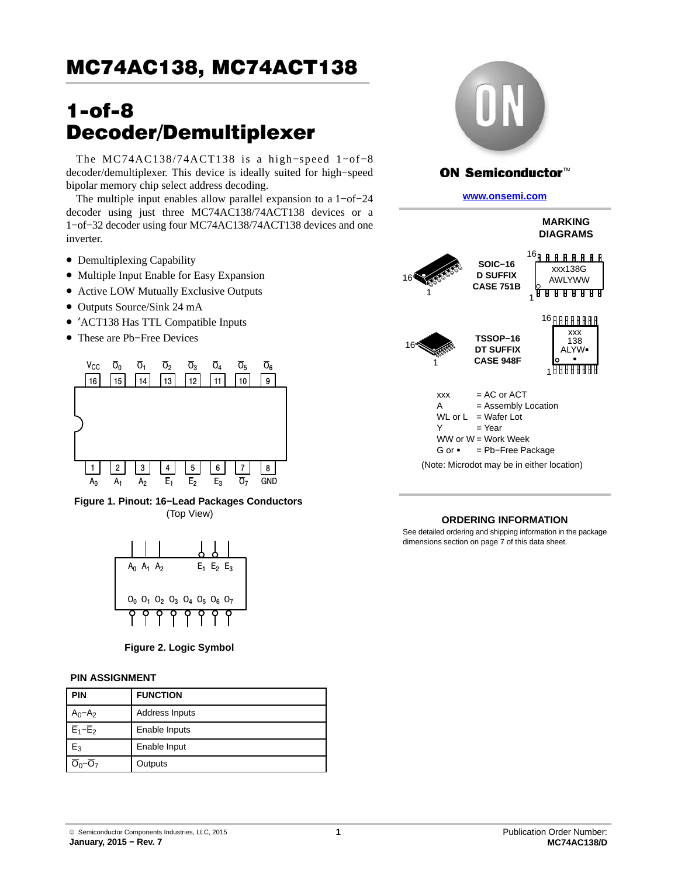# 1-of-8 Decoder/Demultiplexer

The MC74AC138/74ACT138 is a high−speed 1−of−8 decoder/demultiplexer. This device is ideally suited for high−speed bipolar memory chip select address decoding.

The multiple input enables allow parallel expansion to a 1−of−24 decoder using just three MC74AC138/74ACT138 devices or a 1−of−32 decoder using four MC74AC138/74ACT138 devices and one inverter.

- Demultiplexing Capability
- Multiple Input Enable for Easy Expansion
- Active LOW Mutually Exclusive Outputs
- Outputs Source/Sink 24 mA
- ′ACT138 Has TTL Compatible Inputs
- These are Pb−Free Devices



**Figure 1. Pinout: 16−Lead Packages Conductors** (Top View)

| A∩ | $A_1$ $A_2$ |                                                                                                                         |  | $E_1$ $E_2$ $E_3$ |  |
|----|-------------|-------------------------------------------------------------------------------------------------------------------------|--|-------------------|--|
|    |             | O <sub>0</sub> O <sub>1</sub> O <sub>2</sub> O <sub>3</sub> O <sub>4</sub> O <sub>5</sub> O <sub>6</sub> O <sub>7</sub> |  |                   |  |
|    |             |                                                                                                                         |  |                   |  |

**Figure 2. Logic Symbol**

### **PIN ASSIGNMENT**

| <b>PIN</b>  | <b>FUNCTION</b>       |  |  |  |  |
|-------------|-----------------------|--|--|--|--|
| $A_0 - A_2$ | <b>Address Inputs</b> |  |  |  |  |
| $E_1-E_2$   | Enable Inputs         |  |  |  |  |
| Ь3          | Enable Input          |  |  |  |  |
|             | Outputs               |  |  |  |  |



### **ON Semiconductor™**

**[www.onsemi.com]( http://www.onsemi.com/)**



### **ORDERING INFORMATION**

See detailed ordering and shipping information in the package dimensions section on page [7](#page-6-0) of this data sheet.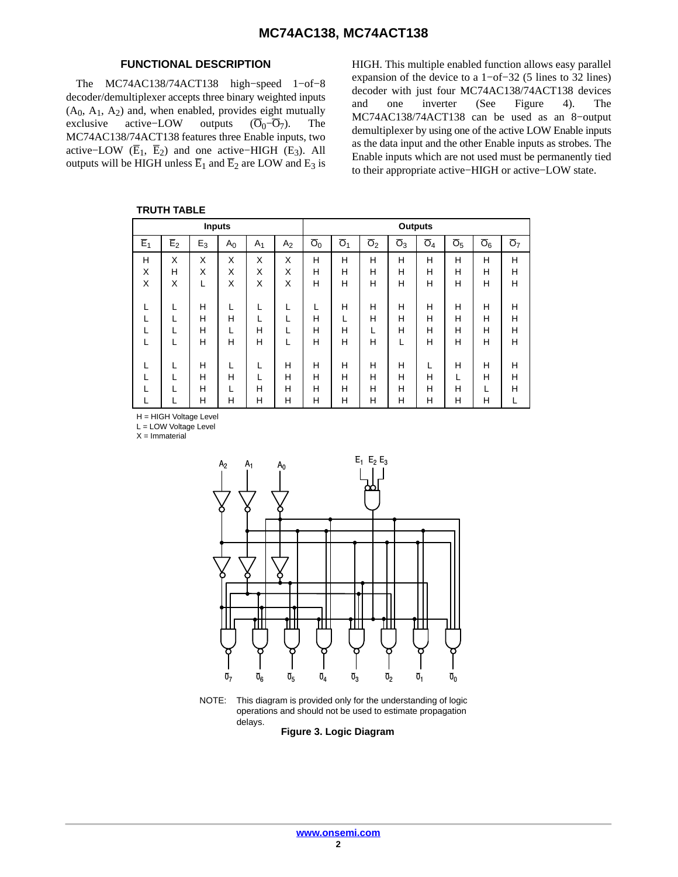### **FUNCTIONAL DESCRIPTION**

The MC74AC138/74ACT138 high−speed 1−of−8 decoder/demultiplexer accepts three binary weighted inputs (A<sub>0</sub>, A<sub>1</sub>, A<sub>2</sub>) and, when enabled, provides eight mutually exclusive active–LOW outputs  $(\overline{O}_0 - \overline{O}_7)$ . The active–LOW outputs  $(\overline{O}_0-\overline{O}_7)$ . The MC74AC138/74ACT138 features three Enable inputs, two active–LOW ( $\overline{E}_1$ ,  $\overline{E}_2$ ) and one active–HIGH (E<sub>3</sub>). All outputs will be HIGH unless  $\overline{E}_1$  and  $\overline{E}_2$  are LOW and  $E_3$  is

**TRUTH TABLE**

HIGH. This multiple enabled function allows easy parallel expansion of the device to a 1−of−32 (5 lines to 32 lines) decoder with just four MC74AC138/74ACT138 devices and one inverter (See Figure [4](#page-2-0)). The MC74AC138/74ACT138 can be used as an 8−output demultiplexer by using one of the active LOW Enable inputs as the data input and the other Enable inputs as strobes. The Enable inputs which are not used must be permanently tied to their appropriate active−HIGH or active−LOW state.

|                  | .                |                  |                |                |                  |                           |                  |                  |                  |                  |                           |                  |                  |
|------------------|------------------|------------------|----------------|----------------|------------------|---------------------------|------------------|------------------|------------------|------------------|---------------------------|------------------|------------------|
|                  |                  | <b>Inputs</b>    |                |                |                  |                           |                  |                  | <b>Outputs</b>   |                  |                           |                  |                  |
| $\overline{E}_1$ | $\overline{E}_2$ | $E_3$            | A <sub>0</sub> | A <sub>1</sub> | A <sub>2</sub>   | $\overline{\mathsf{O}}_0$ | $\overline{O}_1$ | $\overline{O}_2$ | $\overline{O}_3$ | $\overline{O}_4$ | $\overline{\mathsf{O}}_5$ | $\overline{O}_6$ | $\overline{O}_7$ |
| Н<br>X<br>X      | X<br>н<br>X      | X<br>X<br>L      | X<br>Χ<br>X    | X<br>X<br>X    | X<br>X<br>X      | н<br>Н<br>н               | н<br>н<br>н      | Н<br>H<br>Н      | Н<br>H<br>Н      | Н<br>н<br>н      | Н<br>Н<br>H               | н<br>Н<br>н      | Н<br>Н<br>Н      |
|                  |                  | Н<br>н<br>Н<br>Н | Н<br>Н         | н<br>н         |                  | н<br>Н<br>н               | н<br>н<br>н      | H<br>H<br>Н      | H<br>Н<br>н      | н<br>н<br>н<br>н | н<br>Н<br>H<br>Н          | Н<br>Н<br>Н<br>н | н<br>Н<br>H<br>Н |
|                  |                  | н<br>н<br>H<br>н | н<br>н         | L<br>н<br>н    | Н<br>н<br>н<br>н | н<br>н<br>Н<br>н          | н<br>н<br>н<br>н | Н<br>H<br>H<br>н | H<br>н<br>Н<br>н | Н<br>Н<br>н      | Н<br>Н<br>н               | н<br>Н<br>н      | н<br>Н<br>H      |

H = HIGH Voltage Level

L = LOW Voltage Level

 $X =$ Immaterial



NOTE: This diagram is provided only for the understanding of logic operations and should not be used to estimate propagation delays.

**Figure 3. Logic Diagram**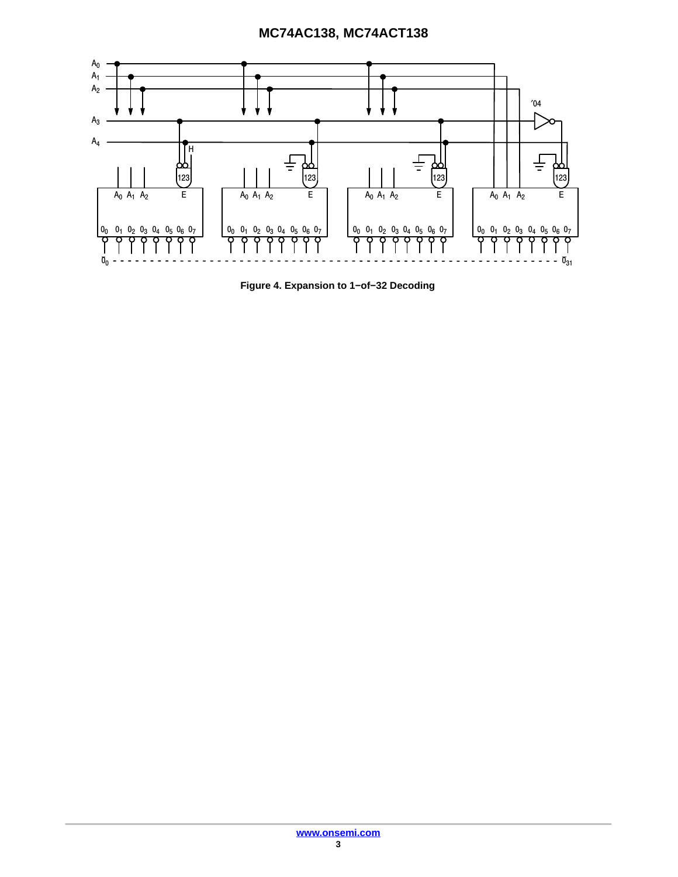<span id="page-2-0"></span>

**Figure 4. Expansion to 1−of−32 Decoding**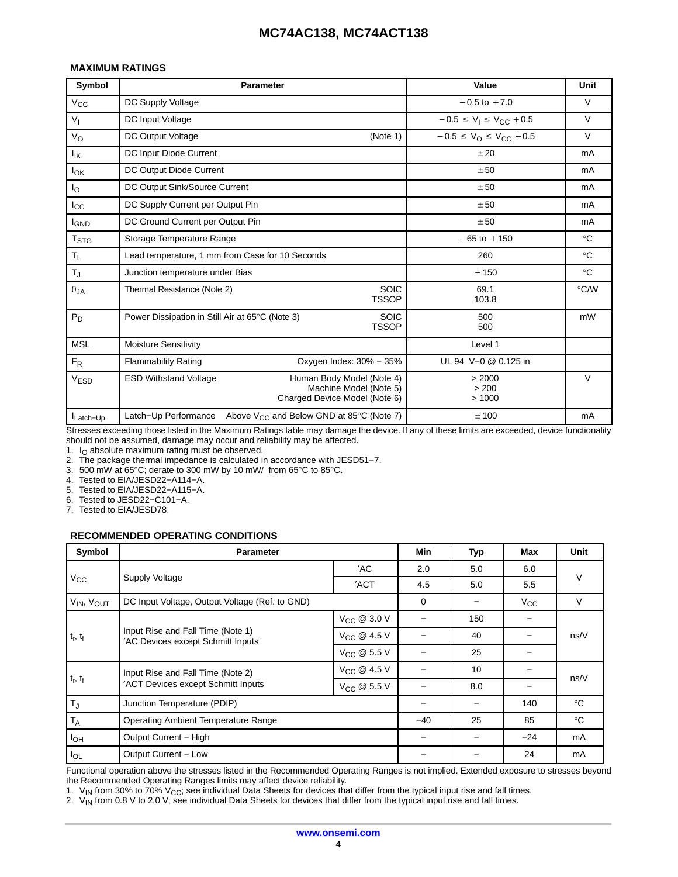#### **MAXIMUM RATINGS**

| Symbol           | <b>Parameter</b>                                                                                                     |                             | Value                                           | Unit          |
|------------------|----------------------------------------------------------------------------------------------------------------------|-----------------------------|-------------------------------------------------|---------------|
| $V_{\rm CC}$     | DC Supply Voltage                                                                                                    |                             | $-0.5$ to $+7.0$                                | V             |
| $V_{I}$          | DC Input Voltage                                                                                                     |                             | $-0.5 \le V_1 \le V_{CC} + 0.5$                 | V             |
| $V_{\rm O}$      | DC Output Voltage                                                                                                    | (Note 1)                    | $-0.5 \le V_{\text{O}} \le V_{\text{CC}} + 0.5$ | $\vee$        |
| $I_{IK}$         | DC Input Diode Current                                                                                               |                             | ±20                                             | mA            |
| $I_{OK}$         | DC Output Diode Current                                                                                              |                             | ± 50                                            | mA            |
| l <sub>O</sub>   | DC Output Sink/Source Current                                                                                        |                             | ± 50                                            | mA            |
| $_{\rm lcc}$     | DC Supply Current per Output Pin                                                                                     |                             | ± 50                                            | mA            |
| <b>I</b> GND     | DC Ground Current per Output Pin                                                                                     |                             | ± 50                                            | mA            |
| T <sub>STG</sub> | Storage Temperature Range                                                                                            |                             | $-65$ to $+150$                                 | $^{\circ}C$   |
| $T_{L}$          | Lead temperature, 1 mm from Case for 10 Seconds                                                                      |                             | 260                                             | $^{\circ}C$   |
| $T_J$            | Junction temperature under Bias                                                                                      |                             | $+150$                                          | $^{\circ}C$   |
| $\theta$ JA      | Thermal Resistance (Note 2)                                                                                          | <b>SOIC</b><br><b>TSSOP</b> | 69.1<br>103.8                                   | $\degree$ C/W |
| $P_D$            | Power Dissipation in Still Air at 65°C (Note 3)                                                                      | <b>SOIC</b><br><b>TSSOP</b> | 500<br>500                                      | mW            |
| <b>MSL</b>       | <b>Moisture Sensitivity</b>                                                                                          |                             | Level 1                                         |               |
| $F_R$            | <b>Flammability Rating</b>                                                                                           | Oxygen Index: 30% - 35%     | UL 94 V-0 @ 0.125 in                            |               |
| <b>VESD</b>      | Human Body Model (Note 4)<br><b>ESD Withstand Voltage</b><br>Machine Model (Note 5)<br>Charged Device Model (Note 6) | > 2000<br>> 200<br>>1000    | V                                               |               |
| Latch-Up         | Above $V_{CC}$ and Below GND at 85 $\degree$ C (Note 7)<br>Latch-Up Performance                                      | ±100                        | mA                                              |               |

Stresses exceeding those listed in the Maximum Ratings table may damage the device. If any of these limits are exceeded, device functionality should not be assumed, damage may occur and reliability may be affected.

1.  $I<sub>O</sub>$  absolute maximum rating must be observed.

2. The package thermal impedance is calculated in accordance with JESD51−7.

3. 500 mW at 65°C; derate to 300 mW by 10 mW/ from 65°C to 85°C.

4. Tested to EIA/JESD22−A114−A.

5. Tested to EIA/JESD22−A115−A.

6. Tested to JESD22−C101−A.

7. Tested to EIA/JESD78.

#### **RECOMMENDED OPERATING CONDITIONS**

| Symbol                  | <b>Parameter</b>                                                       |                         | <b>Min</b>  | Typ | Max          | <b>Unit</b>  |  |
|-------------------------|------------------------------------------------------------------------|-------------------------|-------------|-----|--------------|--------------|--|
|                         |                                                                        | 'AC                     | 2.0         | 5.0 | 6.0          |              |  |
| $V_{\rm CC}$            | <b>Supply Voltage</b>                                                  | 'ACT                    | 4.5         | 5.0 | 5.5          | V            |  |
| VIN, VOUT               | DC Input Voltage, Output Voltage (Ref. to GND)                         |                         | $\mathbf 0$ |     | $V_{\rm CC}$ | V            |  |
|                         |                                                                        | $V_{CC}$ @ 3.0 V        |             | 150 |              |              |  |
| $t_r, t_f$              | Input Rise and Fall Time (Note 1)<br>'AC Devices except Schmitt Inputs | $V_{CC}$ @ 4.5 V        |             | 40  |              | ns/V         |  |
|                         |                                                                        | $V_{CC}$ @ 5.5 V        |             | 25  |              |              |  |
|                         | Input Rise and Fall Time (Note 2)                                      | $V_{CC}$ @ 4.5 V        |             | 10  |              | ns/V         |  |
| $t_r, t_f$              | 'ACT Devices except Schmitt Inputs                                     | V <sub>CC</sub> @ 5.5 V |             | 8.0 |              |              |  |
| $T_J$                   | Junction Temperature (PDIP)                                            |                         |             |     | 140          | $^{\circ}$ C |  |
| $\mathsf{T}_\mathsf{A}$ | <b>Operating Ambient Temperature Range</b>                             |                         |             | 25  | 85           | $^{\circ}$ C |  |
| $I_{OH}$                | Output Current - High                                                  |                         |             |     | $-24$        | mA           |  |
| $I_{OL}$                | Output Current - Low                                                   |                         |             |     | 24           | mA           |  |

Functional operation above the stresses listed in the Recommended Operating Ranges is not implied. Extended exposure to stresses beyond the Recommended Operating Ranges limits may affect device reliability.

1.  $\rm V_{IN}$  from 30% to 70% V<sub>CC</sub>; see individual Data Sheets for devices that differ from the typical input rise and fall times.

2.  $\ V_{\sf IN}$  from 0.8 V to 2.0 V; see individual Data Sheets for devices that differ from the typical input rise and fall times.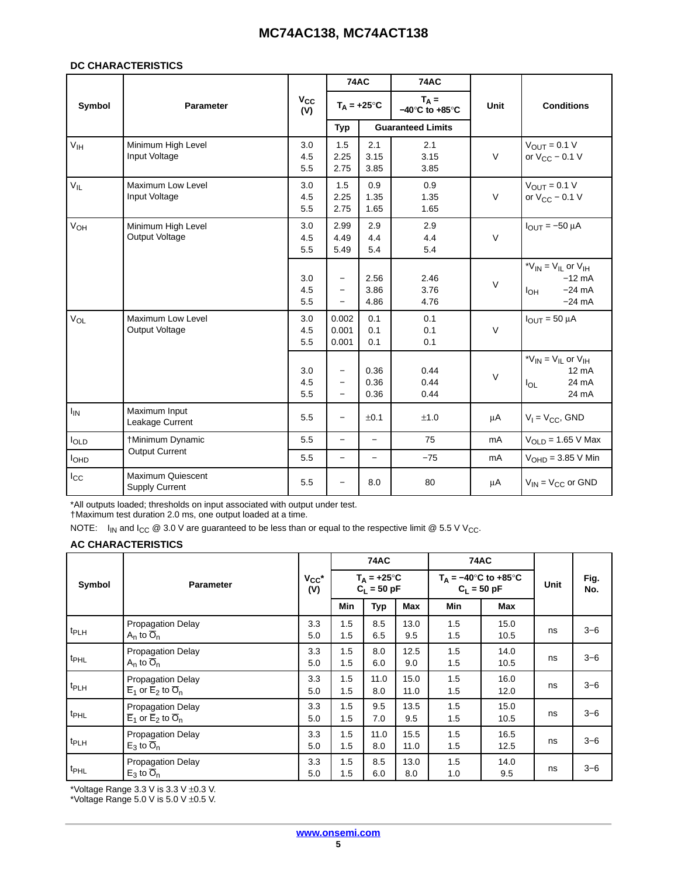#### **DC CHARACTERISTICS**

|                 |                                                   |                     | <b>74AC</b>                                                        |                      | <b>74AC</b>                                   |         |                                                                                    |
|-----------------|---------------------------------------------------|---------------------|--------------------------------------------------------------------|----------------------|-----------------------------------------------|---------|------------------------------------------------------------------------------------|
| Symbol          | Parameter                                         | $v_{\rm cc}$<br>(V) |                                                                    | $T_A = +25^{\circ}C$ | $T_A =$<br>$-40^{\circ}$ C to $+85^{\circ}$ C | Unit    | <b>Conditions</b>                                                                  |
|                 |                                                   |                     | Typ                                                                |                      | <b>Guaranteed Limits</b>                      |         |                                                                                    |
| V <sub>IH</sub> | Minimum High Level<br>Input Voltage               | 3.0<br>4.5<br>5.5   | 1.5<br>2.25<br>2.75                                                | 2.1<br>3.15<br>3.85  | 2.1<br>3.15<br>3.85                           | $\vee$  | $V_{OUT} = 0.1 V$<br>or $V_{CC}$ – 0.1 V                                           |
| $V_{IL}$        | <b>Maximum Low Level</b><br>Input Voltage         | 3.0<br>4.5<br>5.5   | 1.5<br>2.25<br>2.75                                                | 0.9<br>1.35<br>1.65  | 0.9<br>1.35<br>1.65                           | $\vee$  | $V_{OUT} = 0.1 V$<br>or $V_{CC}$ – 0.1 V                                           |
| V <sub>OH</sub> | Minimum High Level<br>Output Voltage              | 3.0<br>4.5<br>5.5   | 2.99<br>4.49<br>5.49                                               | 2.9<br>4.4<br>5.4    | 2.9<br>4.4<br>5.4                             | $\vee$  | $I_{OUT} = -50 \mu A$                                                              |
|                 |                                                   | 3.0<br>4.5<br>5.5   | $\overline{\phantom{0}}$<br>$\overline{\phantom{0}}$               | 2.56<br>3.86<br>4.86 | 2.46<br>3.76<br>4.76                          | $\vee$  | * $V_{IN}$ = $V_{IL}$ or $V_{IH}$<br>$-12$ mA<br>$-24$ mA<br>$I_{OH}$<br>$-24$ mA  |
| V <sub>OL</sub> | Maximum Low Level<br>Output Voltage               | 3.0<br>4.5<br>5.5   | 0.002<br>0.001<br>0.001                                            | 0.1<br>0.1<br>0.1    | 0.1<br>0.1<br>0.1                             | $\vee$  | $I_{OUT} = 50 \mu A$                                                               |
|                 |                                                   | 3.0<br>4.5<br>5.5   | $\qquad \qquad -$<br>$\overline{\phantom{0}}$<br>$\qquad \qquad -$ | 0.36<br>0.36<br>0.36 | 0.44<br>0.44<br>0.44                          | $\vee$  | * $V_{IN}$ = $V_{IL}$ or $V_{IH}$<br>$12 \text{ mA}$<br>24 mA<br>$I_{OL}$<br>24 mA |
| $I_{IN}$        | Maximum Input<br>Leakage Current                  | 5.5                 | $\overline{\phantom{0}}$                                           | ±0.1                 | ±1.0                                          | μA      | $V_1 = V_{CC}$ , GND                                                               |
| loLD            | †Minimum Dynamic                                  | 5.5                 | $\equiv$                                                           | $\qquad \qquad -$    | 75                                            | mA      | $V_{OLD} = 1.65$ V Max                                                             |
| $I_{OHD}$       | Output Current                                    | 5.5                 | $\overline{\phantom{0}}$                                           | $\qquad \qquad -$    | $-75$                                         | mA      | $VOHD = 3.85 V Min$                                                                |
| $I_{\rm CC}$    | <b>Maximum Quiescent</b><br><b>Supply Current</b> | 5.5                 | $\overline{\phantom{0}}$                                           | 8.0                  | 80                                            | $\mu A$ | $V_{IN} = V_{CC}$ or GND                                                           |

\*All outputs loaded; thresholds on input associated with output under test.

†Maximum test duration 2.0 ms, one output loaded at a time.

NOTE:  $I_{IN}$  and  $I_{CC}$  @ 3.0 V are guaranteed to be less than or equal to the respective limit @ 5.5 V V<sub>CC</sub>.

### **AC CHARACTERISTICS**

|                  |                                                                                      |                   | <b>74AC</b> |                                       |              | <b>74AC</b>                                            |              |      |             |
|------------------|--------------------------------------------------------------------------------------|-------------------|-------------|---------------------------------------|--------------|--------------------------------------------------------|--------------|------|-------------|
| Symbol           | <b>Parameter</b>                                                                     | $V_{CC}$ *<br>(V) |             | $T_A = +25^{\circ}C$<br>$C_1 = 50 pF$ |              | $T_{\Delta} = -40^{\circ}$ C to +85°C<br>$C_1 = 50$ pF |              | Unit | Fig.<br>No. |
|                  |                                                                                      |                   | Min         | <b>Typ</b>                            | Max          | Min                                                    | Max          |      |             |
| t <sub>PLH</sub> | <b>Propagation Delay</b><br>$A_n$ to $\overline{O}_n$                                | 3.3<br>5.0        | 1.5<br>1.5  | 8.5<br>6.5                            | 13.0<br>9.5  | 1.5<br>1.5                                             | 15.0<br>10.5 | ns   | $3 - 6$     |
| t <sub>PHL</sub> | <b>Propagation Delay</b><br>$A_n$ to $\overline{O}_n$                                | 3.3<br>5.0        | 1.5<br>1.5  | 8.0<br>6.0                            | 12.5<br>9.0  | 1.5<br>1.5                                             | 14.0<br>10.5 | ns   | $3 - 6$     |
| t <sub>PLH</sub> | <b>Propagation Delay</b><br>$\overline{E}_1$ or $\overline{E}_2$ to $\overline{O}_n$ | 3.3<br>5.0        | 1.5<br>1.5  | 11.0<br>8.0                           | 15.0<br>11.0 | 1.5<br>1.5                                             | 16.0<br>12.0 | ns   | $3 - 6$     |
| t <sub>PHL</sub> | <b>Propagation Delay</b><br>$\overline{E}_1$ or $\overline{E}_2$ to $\overline{O}_n$ | 3.3<br>5.0        | 1.5<br>1.5  | 9.5<br>7.0                            | 13.5<br>9.5  | 1.5<br>1.5                                             | 15.0<br>10.5 | ns   | $3 - 6$     |
| t <sub>PLH</sub> | <b>Propagation Delay</b><br>$E_3$ to $\overline{O}_n$                                | 3.3<br>5.0        | 1.5<br>1.5  | 11.0<br>8.0                           | 15.5<br>11.0 | 1.5<br>1.5                                             | 16.5<br>12.5 | ns   | $3 - 6$     |
| t <sub>PHL</sub> | <b>Propagation Delay</b><br>$E_3$ to $\overline{O}_n$                                | 3.3<br>5.0        | 1.5<br>1.5  | 8.5<br>6.0                            | 13.0<br>8.0  | 1.5<br>1.0                                             | 14.0<br>9.5  | ns   | $3 - 6$     |

\*Voltage Range 3.3 V is 3.3 V ±0.3 V.

\*Voltage Range 5.0 V is 5.0 V  $\pm$ 0.5 V.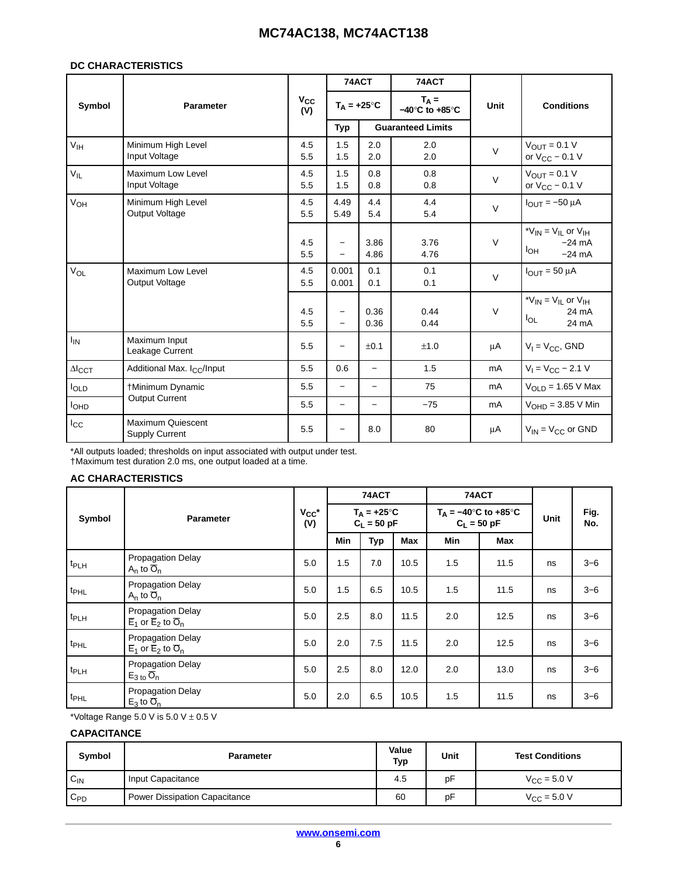#### **DC CHARACTERISTICS**

|                           |                                            |                     | 74ACT                                |                          | 74ACT                                         |             |                                                                                              |
|---------------------------|--------------------------------------------|---------------------|--------------------------------------|--------------------------|-----------------------------------------------|-------------|----------------------------------------------------------------------------------------------|
| Symbol                    | Parameter                                  | $v_{\rm cc}$<br>(V) |                                      | $T_A = +25^\circ C$      | $T_A =$<br>$-40^{\circ}$ C to $+85^{\circ}$ C | <b>Unit</b> | <b>Conditions</b>                                                                            |
|                           |                                            |                     | Typ                                  |                          | <b>Guaranteed Limits</b>                      |             |                                                                                              |
| $V_{\text{IH}}$           | Minimum High Level<br>Input Voltage        | 4.5<br>5.5          | 1.5<br>1.5                           | 2.0<br>2.0               | 2.0<br>2.0                                    | $\vee$      | $V_{OUT} = 0.1 V$<br>or $V_{CC}$ – 0.1 V                                                     |
| $V_{IL}$                  | Maximum Low Level<br>Input Voltage         | 4.5<br>5.5          | 1.5<br>1.5                           | 0.8<br>0.8               | 0.8<br>0.8                                    | $\vee$      | $V_{OUT} = 0.1 V$<br>or $V_{CC}$ – 0.1 V                                                     |
| V <sub>OH</sub>           | Minimum High Level<br>Output Voltage       | 4.5<br>5.5          | 4.49<br>5.49                         | 4.4<br>5.4               | 4.4<br>5.4                                    | $\vee$      | $IQUT = -50 \mu A$                                                                           |
|                           |                                            | 4.5<br>5.5          | $\overline{\phantom{0}}$<br>$\equiv$ | 3.86<br>4.86             | 3.76<br>4.76                                  | $\vee$      | * $V_{IN}$ = $V_{IL}$ or $V_{IH}$<br>$-24 \text{ mA}$<br>I <sub>OH</sub><br>$-24 \text{ mA}$ |
| $V_{OL}$                  | Maximum Low Level<br>Output Voltage        | 4.5<br>5.5          | 0.001<br>0.001                       | 0.1<br>0.1               | 0.1<br>0.1                                    | $\vee$      | $I_{\text{OUT}} = 50 \mu A$                                                                  |
|                           |                                            | 4.5<br>5.5          | $\qquad \qquad -$<br>$\equiv$        | 0.36<br>0.36             | 0.44<br>0.44                                  | $\vee$      | * $V_{IN}$ = $V_{IL}$ or $V_{IH}$<br>24 mA<br>$I_{OL}$<br>24 mA                              |
| $I_{IN}$                  | Maximum Input<br>Leakage Current           | 5.5                 | $\qquad \qquad -$                    | ±0.1                     | ±1.0                                          | μA          | $V_1 = V_{CC}$ , GND                                                                         |
| $\Delta I$ <sub>CCT</sub> | Additional Max. I <sub>CC</sub> /Input     | 5.5                 | 0.6                                  | $\equiv$                 | 1.5                                           | mA          | $V_1 = V_{CC} - 2.1 V$                                                                       |
| <b>I</b> OLD              | †Minimum Dynamic                           | 5.5                 | $\qquad \qquad -$                    | $\overline{\phantom{m}}$ | 75                                            | mA          | $V_{OLD}$ = 1.65 V Max                                                                       |
| <b>I</b> OHD              | <b>Output Current</b>                      | 5.5                 | $\overline{\phantom{0}}$             | $\overline{\phantom{0}}$ | $-75$                                         | mA          | $VOHD = 3.85 V Min$                                                                          |
| $I_{\rm CC}$              | <b>Maximum Quiescent</b><br>Supply Current | 5.5                 | $\overline{\phantom{0}}$             | 8.0                      | 80                                            | μA          | $V_{IN} = V_{CC}$ or GND                                                                     |

\*All outputs loaded; thresholds on input associated with output under test.

†Maximum test duration 2.0 ms, one output loaded at a time.

### **AC CHARACTERISTICS**

|                  | Symbol<br><b>Parameter</b>                                                           |     | 74ACT                                 |            |      | 74ACT                                                               |      | Unit |             |  |
|------------------|--------------------------------------------------------------------------------------|-----|---------------------------------------|------------|------|---------------------------------------------------------------------|------|------|-------------|--|
|                  |                                                                                      |     | $T_A = +25^{\circ}C$<br>$C_L = 50$ pF |            |      | $T_A = -40^\circ \text{C}$ to $+85^\circ \text{C}$<br>$C_1 = 50 pF$ |      |      | Fig.<br>No. |  |
|                  |                                                                                      |     | Min                                   | <b>Typ</b> | Max  | Min                                                                 | Max  |      |             |  |
| t <sub>PLH</sub> | <b>Propagation Delay</b><br>$A_n$ to $\overline{O}_n$                                | 5.0 | 1.5                                   | 7.0        | 10.5 | 1.5                                                                 | 11.5 | ns   | $3 - 6$     |  |
| t <sub>PHL</sub> | Propagation Delay<br>$A_n$ to $\overline{O}_n$                                       | 5.0 | 1.5                                   | 6.5        | 10.5 | 1.5                                                                 | 11.5 | ns   | $3 - 6$     |  |
| t <sub>PLH</sub> | <b>Propagation Delay</b><br>$\overline{E}_1$ or $\overline{E}_2$ to $\overline{O}_n$ | 5.0 | 2.5                                   | 8.0        | 11.5 | 2.0                                                                 | 12.5 | ns   | $3 - 6$     |  |
| t <sub>PHL</sub> | <b>Propagation Delay</b><br>$\overline{E}_1$ or $\overline{E}_2$ to $\overline{O}_n$ | 5.0 | 2.0                                   | 7.5        | 11.5 | 2.0                                                                 | 12.5 | ns   | $3 - 6$     |  |
| t <sub>PLH</sub> | Propagation Delay<br>$E_{3 \text{ to}} \overline{O}_{n}$                             | 5.0 | 2.5                                   | 8.0        | 12.0 | 2.0                                                                 | 13.0 | ns   | $3 - 6$     |  |
| t <sub>PHL</sub> | <b>Propagation Delay</b><br>$E_3$ to $\overline{O}_n$                                | 5.0 | 2.0                                   | 6.5        | 10.5 | 1.5                                                                 | 11.5 | ns   | $3 - 6$     |  |

\*Voltage Range 5.0 V is  $5.0$  V  $\pm$  0.5 V

### **CAPACITANCE**

| Symbol          | Parameter                     | Value<br>Typ | Unit | <b>Test Conditions</b>  |
|-----------------|-------------------------------|--------------|------|-------------------------|
| $C_{\text{IN}}$ | Input Capacitance             | 4.5          | pF   | $V_{\rm CC} = 5.0 V$    |
| $C_{PD}$        | Power Dissipation Capacitance | 60           | pF   | $V_{\text{CC}} = 5.0 V$ |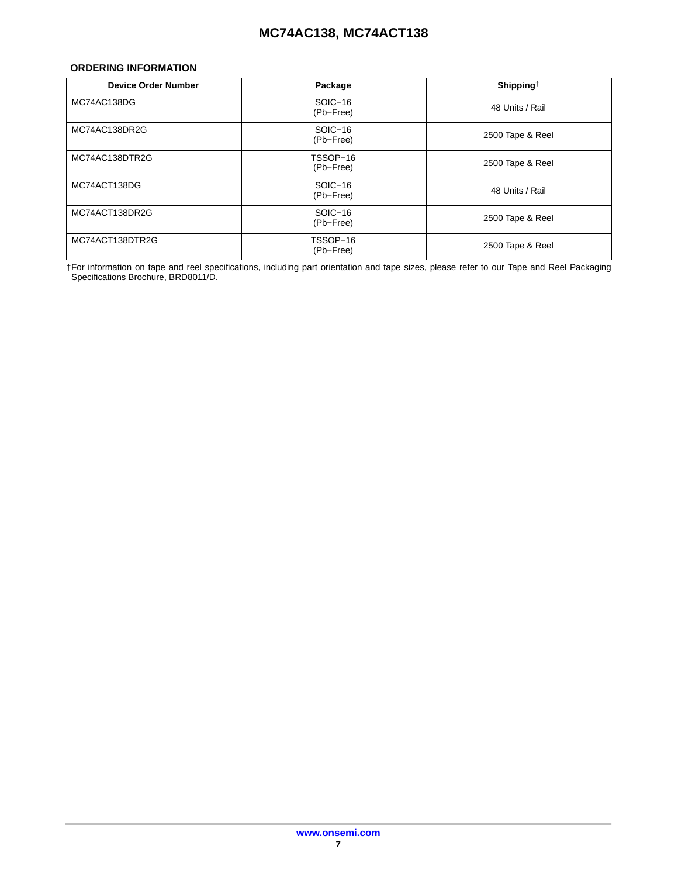### <span id="page-6-0"></span>**ORDERING INFORMATION**

| <b>Device Order Number</b> | Package               | Shipping <sup>†</sup> |
|----------------------------|-----------------------|-----------------------|
| MC74AC138DG                | SOIC-16<br>(Pb-Free)  | 48 Units / Rail       |
| MC74AC138DR2G              | SOIC-16<br>(Pb-Free)  | 2500 Tape & Reel      |
| MC74AC138DTR2G             | TSSOP-16<br>(Pb-Free) | 2500 Tape & Reel      |
| MC74ACT138DG               | SOIC-16<br>(Pb-Free)  | 48 Units / Rail       |
| MC74ACT138DR2G             | SOIC-16<br>(Pb-Free)  | 2500 Tape & Reel      |
| MC74ACT138DTR2G            | TSSOP-16<br>(Pb-Free) | 2500 Tape & Reel      |

†For information on tape and reel specifications, including part orientation and tape sizes, please refer to our Tape and Reel Packaging Specifications Brochure, BRD8011/D.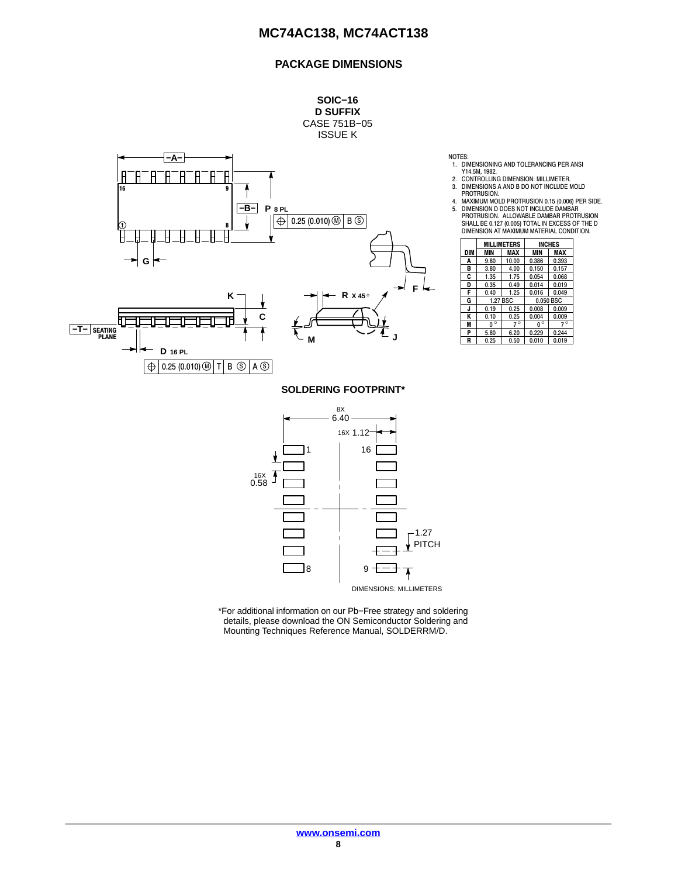### **PACKAGE DIMENSIONS**



DIMENSIONS: MILLIMETERS

 $\overline{\mathbf{A}}$ 

\*For additional information on our Pb−Free strategy and soldering details, please download the ON Semiconductor Soldering and Mounting Techniques Reference Manual, SOLDERRM/D.

8 9

NOTES: 1. DIMENSIONING AND TOLERANCING PER ANSI

Y14.5M, 1982.<br>2. CONTROLLING DIMENSION: MILLIMETER.<br>3. DIMENSIONS A AND B DO NOT INCLUDE MOLD<br>1. PROTRUSION.

4. MAXIMUM MOLD PROTRUSION 0.15 (0.006) PER SIDE. 5. DIMENSION D DOES NOT INCLUDE DAMBAR

|     |              | <b>MILLIMETERS</b> | <b>INCHES</b> |           |  |
|-----|--------------|--------------------|---------------|-----------|--|
| DIM | <b>MIN</b>   | MAX                |               | MAX       |  |
| A   | 9.80         | 10.00              | 0.386         | 0.393     |  |
| в   | 3.80         | 4.00               | 0.150         | 0.157     |  |
| C   | 1.35         | 1.75               | 0.054         | 0.068     |  |
| D   | 0.35         | 0.49               | 0.014         | 0.019     |  |
| F   | 0.40         | 1.25               | 0.016         | 0.049     |  |
| G   |              | 1.27 BSC           | 0.050 BSC     |           |  |
| J   | 0.19         | 0.25               | 0.008         | 0.009     |  |
| Κ   | 0.10         | 0.25               | 0.004         | 0.009     |  |
| M   | $\circ$<br>n | $7^\circ$          | $0^{\circ}$   | $7^\circ$ |  |
| P   | 5.80         | 6.20               | 0.229         | 0.244     |  |
| R   | 0.25         | 0.50               | 0.010         | 0.019     |  |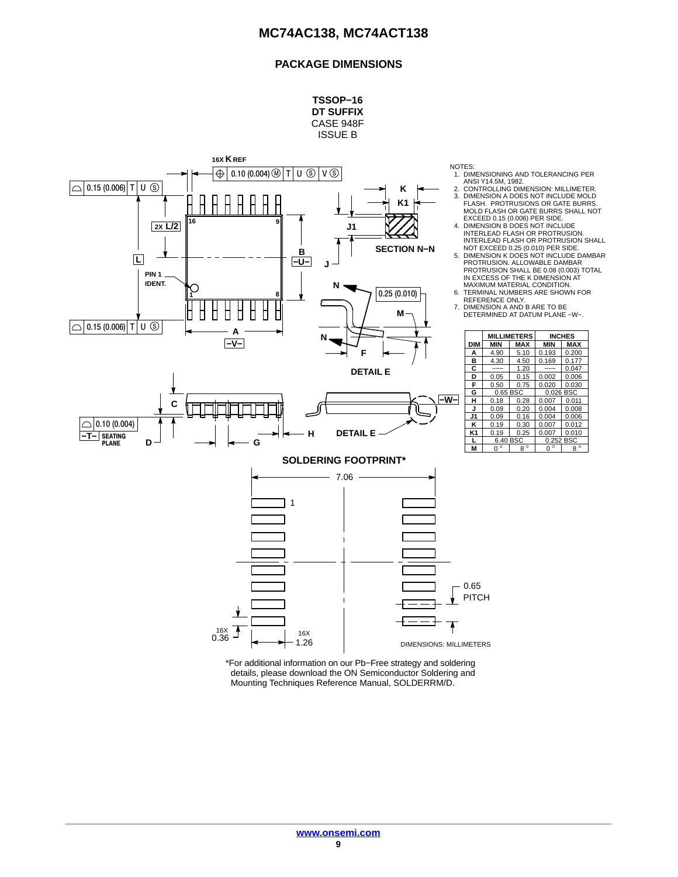### **PACKAGE DIMENSIONS**



\*For additional information on our Pb−Free strategy and soldering details, please download the ON Semiconductor Soldering and Mounting Techniques Reference Manual, SOLDERRM/D.